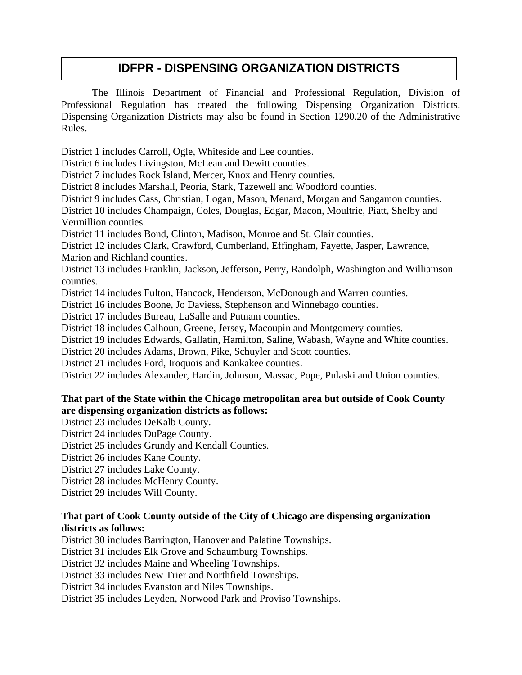## **IDFPR - DISPENSING ORGANIZATION DISTRICTS**

The Illinois Department of Financial and Professional Regulation, Division of Professional Regulation has created the following Dispensing Organization Districts. Dispensing Organization Districts may also be found in Section 1290.20 of the Administrative Rules.

District 1 includes Carroll, Ogle, Whiteside and Lee counties.

District 6 includes Livingston, McLean and Dewitt counties.

District 7 includes Rock Island, Mercer, Knox and Henry counties.

District 8 includes Marshall, Peoria, Stark, Tazewell and Woodford counties.

District 9 includes Cass, Christian, Logan, Mason, Menard, Morgan and Sangamon counties.

District 10 includes Champaign, Coles, Douglas, Edgar, Macon, Moultrie, Piatt, Shelby and Vermillion counties.

District 11 includes Bond, Clinton, Madison, Monroe and St. Clair counties.

District 12 includes Clark, Crawford, Cumberland, Effingham, Fayette, Jasper, Lawrence, Marion and Richland counties.

District 13 includes Franklin, Jackson, Jefferson, Perry, Randolph, Washington and Williamson counties.

District 14 includes Fulton, Hancock, Henderson, McDonough and Warren counties.

District 16 includes Boone, Jo Daviess, Stephenson and Winnebago counties.

District 17 includes Bureau, LaSalle and Putnam counties.

District 18 includes Calhoun, Greene, Jersey, Macoupin and Montgomery counties.

District 19 includes Edwards, Gallatin, Hamilton, Saline, Wabash, Wayne and White counties.

District 20 includes Adams, Brown, Pike, Schuyler and Scott counties.

District 21 includes Ford, Iroquois and Kankakee counties.

District 22 includes Alexander, Hardin, Johnson, Massac, Pope, Pulaski and Union counties.

## **That part of the State within the Chicago metropolitan area but outside of Cook County are dispensing organization districts as follows:**

District 23 includes DeKalb County.

District 24 includes DuPage County.

District 25 includes Grundy and Kendall Counties.

District 26 includes Kane County.

District 27 includes Lake County.

District 28 includes McHenry County.

District 29 includes Will County.

## **That part of Cook County outside of the City of Chicago are dispensing organization districts as follows:**

District 30 includes Barrington, Hanover and Palatine Townships.

District 31 includes Elk Grove and Schaumburg Townships.

District 32 includes Maine and Wheeling Townships.

District 33 includes New Trier and Northfield Townships.

District 34 includes Evanston and Niles Townships.

District 35 includes Leyden, Norwood Park and Proviso Townships.